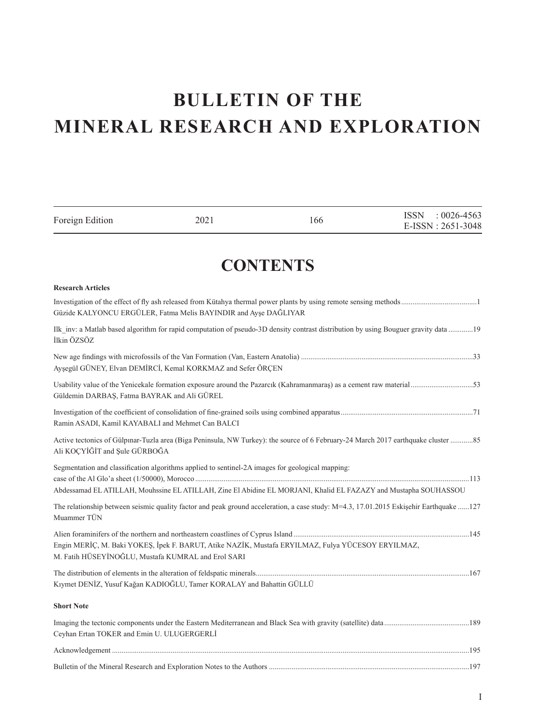# **BULLETIN OF THE** MINERAL RESEARCH AND EXPLORATION

| Foreign Edition                                    | 2021                                                                                             | 166                                                                                                                                    | ISSN : 0026-4563<br>E-ISSN: 2651-3048 |
|----------------------------------------------------|--------------------------------------------------------------------------------------------------|----------------------------------------------------------------------------------------------------------------------------------------|---------------------------------------|
|                                                    |                                                                                                  | <b>CONTENTS</b>                                                                                                                        |                                       |
| <b>Research Articles</b>                           |                                                                                                  |                                                                                                                                        |                                       |
|                                                    | Güzide KALYONCU ERGÜLER, Fatma Melis BAYINDIR and Ayşe DAĞLIYAR                                  |                                                                                                                                        |                                       |
| İlkin ÖZSÖZ                                        |                                                                                                  | Ilk inv: a Matlab based algorithm for rapid computation of pseudo-3D density contrast distribution by using Bouguer gravity data 19    |                                       |
|                                                    | Ayşegül GÜNEY, Elvan DEMİRCİ, Kemal KORKMAZ and Sefer ÖRÇEN                                      |                                                                                                                                        |                                       |
| Güldemin DARBAŞ, Fatma BAYRAK and Ali GÜREL        |                                                                                                  |                                                                                                                                        |                                       |
| Ramin ASADI, Kamil KAYABALI and Mehmet Can BALCI   |                                                                                                  |                                                                                                                                        |                                       |
| Ali KOÇYİĞİT and Şule GÜRBOĞA                      |                                                                                                  | Active tectonics of Gülpınar-Tuzla area (Biga Peninsula, NW Turkey): the source of 6 February-24 March 2017 earthquake cluster 85      |                                       |
|                                                    | Segmentation and classification algorithms applied to sentinel-2A images for geological mapping: | Abdessamad EL ATILLAH, Mouhssine EL ATILLAH, Zine El Abidine EL MORJANI, Khalid EL FAZAZY and Mustapha SOUHASSOU                       |                                       |
| Muammer TÜN                                        |                                                                                                  | The relationship between seismic quality factor and peak ground acceleration, a case study: M=4.3, 17.01.2015 Eskisehir Earthquake 127 |                                       |
| M. Fatih HÜSEYİNOĞLU, Mustafa KUMRAL and Erol SARI |                                                                                                  | Engin MERİÇ, M. Baki YOKEŞ, İpek F. BARUT, Atike NAZİK, Mustafa ERYILMAZ, Fulya YÜCESOY ERYILMAZ,                                      |                                       |
|                                                    | Kıymet DENİZ, Yusuf Kağan KADIOĞLU, Tamer KORALAY and Bahattin GÜLLÜ                             |                                                                                                                                        |                                       |
| <b>Short Note</b>                                  |                                                                                                  |                                                                                                                                        |                                       |
| Ceyhan Ertan TOKER and Emin U. ULUGERGERLİ         |                                                                                                  |                                                                                                                                        |                                       |
|                                                    |                                                                                                  |                                                                                                                                        |                                       |
|                                                    |                                                                                                  |                                                                                                                                        |                                       |